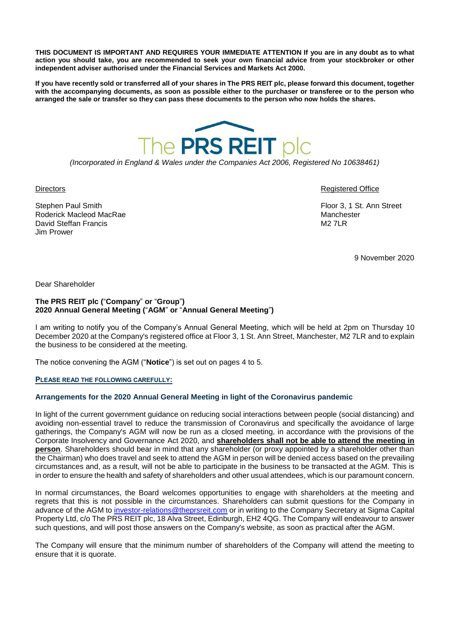**THIS DOCUMENT IS IMPORTANT AND REQUIRES YOUR IMMEDIATE ATTENTION If you are in any doubt as to what action you should take, you are recommended to seek your own financial advice from your stockbroker or other independent adviser authorised under the Financial Services and Markets Act 2000.**

**If you have recently sold or transferred all of your shares in The PRS REIT plc, please forward this document, together with the accompanying documents, as soon as possible either to the purchaser or transferee or to the person who arranged the sale or transfer so they can pass these documents to the person who now holds the shares.**



*(Incorporated in England & Wales under the Companies Act 2006, Registered No 10638461)*

Stephen Paul Smith **Floor 3, 1 St. Ann Street** Roderick Macleod MacRae Manchester Manchester David Steffan Francis M2 7LR Jim Prower

Directors Registered Office

9 November 2020

Dear Shareholder

#### **The PRS REIT plc (**"**Company**" **or** "**Group**"**) 2020 Annual General Meeting (**"**AGM**" **or** "**Annual General Meeting**"**)**

I am writing to notify you of the Company's Annual General Meeting, which will be held at 2pm on Thursday 10 December 2020 at the Company's registered office at Floor 3, 1 St. Ann Street, Manchester, M2 7LR and to explain the business to be considered at the meeting.

The notice convening the AGM ("**Notice**") is set out on pages 4 to 5.

#### **PLEASE READ THE FOLLOWING CAREFULLY:**

# **Arrangements for the 2020 Annual General Meeting in light of the Coronavirus pandemic**

In light of the current government guidance on reducing social interactions between people (social distancing) and avoiding non-essential travel to reduce the transmission of Coronavirus and specifically the avoidance of large gatherings, the Company's AGM will now be run as a closed meeting, in accordance with the provisions of the Corporate Insolvency and Governance Act 2020, and **shareholders shall not be able to attend the meeting in person**. Shareholders should bear in mind that any shareholder (or proxy appointed by a shareholder other than the Chairman) who does travel and seek to attend the AGM in person will be denied access based on the prevailing circumstances and, as a result, will not be able to participate in the business to be transacted at the AGM. This is in order to ensure the health and safety of shareholders and other usual attendees, which is our paramount concern.

In normal circumstances, the Board welcomes opportunities to engage with shareholders at the meeting and regrets that this is not possible in the circumstances. Shareholders can submit questions for the Company in advance of the AGM to [investor-relations@theprsreit.com](mailto:investor-relations@theprsreit.com) or in writing to the Company Secretary at Sigma Capital Property Ltd, c/o The PRS REIT plc, 18 Alva Street, Edinburgh, EH2 4QG. The Company will endeavour to answer such questions, and will post those answers on the Company's website, as soon as practical after the AGM.

The Company will ensure that the minimum number of shareholders of the Company will attend the meeting to ensure that it is quorate.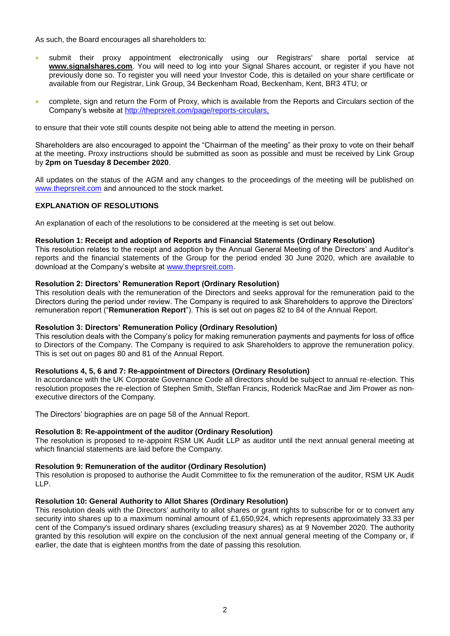As such, the Board encourages all shareholders to:

- submit their proxy appointment electronically using our Registrars' share portal service at **www.signalshares.com**. You will need to log into your Signal Shares account, or register if you have not previously done so. To register you will need your Investor Code, this is detailed on your share certificate or available from our Registrar, Link Group, 34 Beckenham Road, Beckenham, Kent, BR3 4TU; or
- complete, sign and return the Form of Proxy, which is available from the Reports and Circulars section of the Company's website at [http://theprsreit.com/page/reports-circulars,](http://theprsreit.com/page/reports-circulars)

to ensure that their vote still counts despite not being able to attend the meeting in person.

Shareholders are also encouraged to appoint the "Chairman of the meeting" as their proxy to vote on their behalf at the meeting. Proxy instructions should be submitted as soon as possible and must be received by Link Group by **2pm on Tuesday 8 December 2020**.

All updates on the status of the AGM and any changes to the proceedings of the meeting will be published on [www.theprsreit.com](http://www.theprsreit.com/) and announced to the stock market.

# **EXPLANATION OF RESOLUTIONS**

An explanation of each of the resolutions to be considered at the meeting is set out below.

### **Resolution 1: Receipt and adoption of Reports and Financial Statements (Ordinary Resolution)**

This resolution relates to the receipt and adoption by the Annual General Meeting of the Directors' and Auditor's reports and the financial statements of the Group for the period ended 30 June 2020, which are available to download at the Company's website at [www.theprsreit.com.](http://www.theprsreit.com/)

### **Resolution 2: Directors' Remuneration Report (Ordinary Resolution)**

This resolution deals with the remuneration of the Directors and seeks approval for the remuneration paid to the Directors during the period under review. The Company is required to ask Shareholders to approve the Directors' remuneration report ("**Remuneration Report**"). This is set out on pages 82 to 84 of the Annual Report.

# **Resolution 3: Directors' Remuneration Policy (Ordinary Resolution)**

This resolution deals with the Company's policy for making remuneration payments and payments for loss of office to Directors of the Company. The Company is required to ask Shareholders to approve the remuneration policy. This is set out on pages 80 and 81 of the Annual Report.

#### **Resolutions 4, 5, 6 and 7: Re-appointment of Directors (Ordinary Resolution)**

In accordance with the UK Corporate Governance Code all directors should be subject to annual re-election. This resolution proposes the re-election of Stephen Smith, Steffan Francis, Roderick MacRae and Jim Prower as nonexecutive directors of the Company.

The Directors' biographies are on page 58 of the Annual Report.

#### **Resolution 8: Re-appointment of the auditor (Ordinary Resolution)**

The resolution is proposed to re-appoint RSM UK Audit LLP as auditor until the next annual general meeting at which financial statements are laid before the Company.

#### **Resolution 9: Remuneration of the auditor (Ordinary Resolution)**

This resolution is proposed to authorise the Audit Committee to fix the remuneration of the auditor, RSM UK Audit LLP.

#### **Resolution 10: General Authority to Allot Shares (Ordinary Resolution)**

This resolution deals with the Directors' authority to allot shares or grant rights to subscribe for or to convert any security into shares up to a maximum nominal amount of £1,650,924, which represents approximately 33.33 per cent of the Company's issued ordinary shares (excluding treasury shares) as at 9 November 2020. The authority granted by this resolution will expire on the conclusion of the next annual general meeting of the Company or, if earlier, the date that is eighteen months from the date of passing this resolution.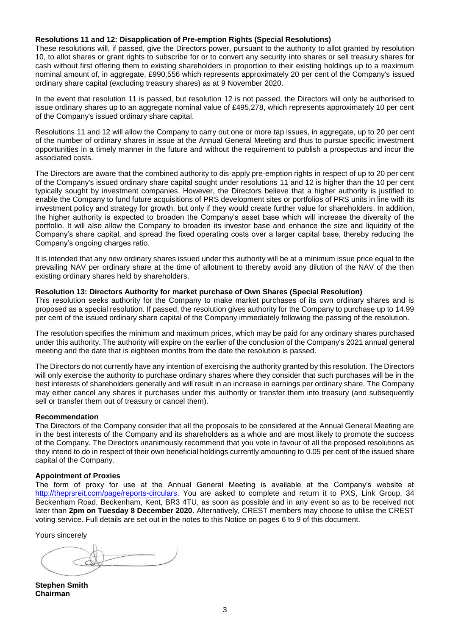#### **Resolutions 11 and 12: Disapplication of Pre-emption Rights (Special Resolutions)**

These resolutions will, if passed, give the Directors power, pursuant to the authority to allot granted by resolution 10, to allot shares or grant rights to subscribe for or to convert any security into shares or sell treasury shares for cash without first offering them to existing shareholders in proportion to their existing holdings up to a maximum nominal amount of, in aggregate, £990,556 which represents approximately 20 per cent of the Company's issued ordinary share capital (excluding treasury shares) as at 9 November 2020.

In the event that resolution 11 is passed, but resolution 12 is not passed, the Directors will only be authorised to issue ordinary shares up to an aggregate nominal value of £495,278, which represents approximately 10 per cent of the Company's issued ordinary share capital.

Resolutions 11 and 12 will allow the Company to carry out one or more tap issues, in aggregate, up to 20 per cent of the number of ordinary shares in issue at the Annual General Meeting and thus to pursue specific investment opportunities in a timely manner in the future and without the requirement to publish a prospectus and incur the associated costs.

The Directors are aware that the combined authority to dis-apply pre-emption rights in respect of up to 20 per cent of the Company's issued ordinary share capital sought under resolutions 11 and 12 is higher than the 10 per cent typically sought by investment companies. However, the Directors believe that a higher authority is justified to enable the Company to fund future acquisitions of PRS development sites or portfolios of PRS units in line with its investment policy and strategy for growth, but only if they would create further value for shareholders. In addition, the higher authority is expected to broaden the Company's asset base which will increase the diversity of the portfolio. It will also allow the Company to broaden its investor base and enhance the size and liquidity of the Company's share capital, and spread the fixed operating costs over a larger capital base, thereby reducing the Company's ongoing charges ratio.

It is intended that any new ordinary shares issued under this authority will be at a minimum issue price equal to the prevailing NAV per ordinary share at the time of allotment to thereby avoid any dilution of the NAV of the then existing ordinary shares held by shareholders.

#### **Resolution 13: Directors Authority for market purchase of Own Shares (Special Resolution)**

This resolution seeks authority for the Company to make market purchases of its own ordinary shares and is proposed as a special resolution. If passed, the resolution gives authority for the Company to purchase up to 14.99 per cent of the issued ordinary share capital of the Company immediately following the passing of the resolution.

The resolution specifies the minimum and maximum prices, which may be paid for any ordinary shares purchased under this authority. The authority will expire on the earlier of the conclusion of the Company's 2021 annual general meeting and the date that is eighteen months from the date the resolution is passed.

The Directors do not currently have any intention of exercising the authority granted by this resolution. The Directors will only exercise the authority to purchase ordinary shares where they consider that such purchases will be in the best interests of shareholders generally and will result in an increase in earnings per ordinary share. The Company may either cancel any shares it purchases under this authority or transfer them into treasury (and subsequently sell or transfer them out of treasury or cancel them).

#### **Recommendation**

The Directors of the Company consider that all the proposals to be considered at the Annual General Meeting are in the best interests of the Company and its shareholders as a whole and are most likely to promote the success of the Company. The Directors unanimously recommend that you vote in favour of all the proposed resolutions as they intend to do in respect of their own beneficial holdings currently amounting to 0.05 per cent of the issued share capital of the Company.

#### **Appointment of Proxies**

The form of proxy for use at the Annual General Meeting is available at the Company's website at [http://theprsreit.com/page/reports-circulars.](http://theprsreit.com/page/reports-circulars) You are asked to complete and return it to PXS, Link Group, 34 Beckenham Road, Beckenham, Kent, BR3 4TU, as soon as possible and in any event so as to be received not later than **2pm on Tuesday 8 December 2020**. Alternatively, CREST members may choose to utilise the CREST voting service. Full details are set out in the notes to this Notice on pages 6 to 9 of this document.

Yours sincerely

**Stephen Smith Chairman**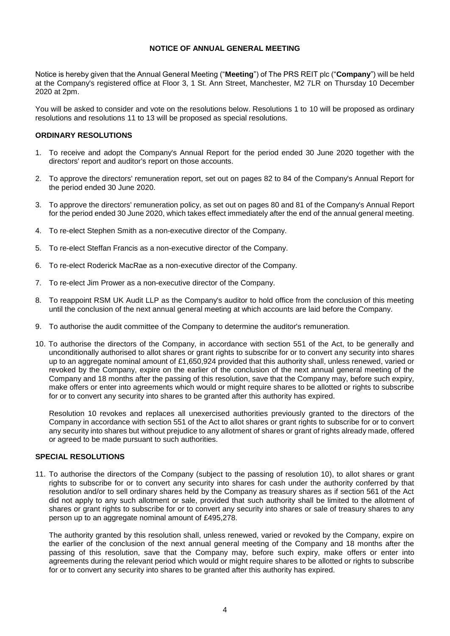# **NOTICE OF ANNUAL GENERAL MEETING**

Notice is hereby given that the Annual General Meeting ("**Meeting**") of The PRS REIT plc ("**Company**") will be held at the Company's registered office at Floor 3, 1 St. Ann Street, Manchester, M2 7LR on Thursday 10 December 2020 at 2pm.

You will be asked to consider and vote on the resolutions below. Resolutions 1 to 10 will be proposed as ordinary resolutions and resolutions 11 to 13 will be proposed as special resolutions.

### **ORDINARY RESOLUTIONS**

- 1. To receive and adopt the Company's Annual Report for the period ended 30 June 2020 together with the directors' report and auditor's report on those accounts.
- 2. To approve the directors' remuneration report, set out on pages 82 to 84 of the Company's Annual Report for the period ended 30 June 2020.
- 3. To approve the directors' remuneration policy, as set out on pages 80 and 81 of the Company's Annual Report for the period ended 30 June 2020, which takes effect immediately after the end of the annual general meeting.
- 4. To re-elect Stephen Smith as a non-executive director of the Company.
- 5. To re-elect Steffan Francis as a non-executive director of the Company.
- 6. To re-elect Roderick MacRae as a non-executive director of the Company.
- 7. To re-elect Jim Prower as a non-executive director of the Company.
- 8. To reappoint RSM UK Audit LLP as the Company's auditor to hold office from the conclusion of this meeting until the conclusion of the next annual general meeting at which accounts are laid before the Company.
- 9. To authorise the audit committee of the Company to determine the auditor's remuneration.
- 10. To authorise the directors of the Company, in accordance with section 551 of the Act, to be generally and unconditionally authorised to allot shares or grant rights to subscribe for or to convert any security into shares up to an aggregate nominal amount of £1,650,924 provided that this authority shall, unless renewed, varied or revoked by the Company, expire on the earlier of the conclusion of the next annual general meeting of the Company and 18 months after the passing of this resolution, save that the Company may, before such expiry, make offers or enter into agreements which would or might require shares to be allotted or rights to subscribe for or to convert any security into shares to be granted after this authority has expired.

Resolution 10 revokes and replaces all unexercised authorities previously granted to the directors of the Company in accordance with section 551 of the Act to allot shares or grant rights to subscribe for or to convert any security into shares but without prejudice to any allotment of shares or grant of rights already made, offered or agreed to be made pursuant to such authorities.

# **SPECIAL RESOLUTIONS**

11. To authorise the directors of the Company (subject to the passing of resolution 10), to allot shares or grant rights to subscribe for or to convert any security into shares for cash under the authority conferred by that resolution and/or to sell ordinary shares held by the Company as treasury shares as if section 561 of the Act did not apply to any such allotment or sale, provided that such authority shall be limited to the allotment of shares or grant rights to subscribe for or to convert any security into shares or sale of treasury shares to any person up to an aggregate nominal amount of £495,278.

The authority granted by this resolution shall, unless renewed, varied or revoked by the Company, expire on the earlier of the conclusion of the next annual general meeting of the Company and 18 months after the passing of this resolution, save that the Company may, before such expiry, make offers or enter into agreements during the relevant period which would or might require shares to be allotted or rights to subscribe for or to convert any security into shares to be granted after this authority has expired.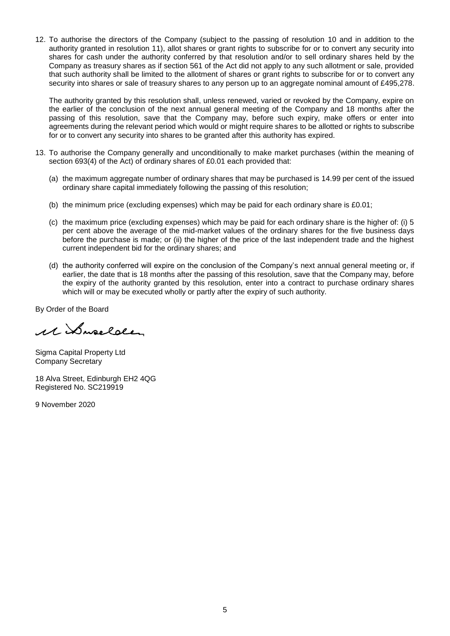12. To authorise the directors of the Company (subject to the passing of resolution 10 and in addition to the authority granted in resolution 11), allot shares or grant rights to subscribe for or to convert any security into shares for cash under the authority conferred by that resolution and/or to sell ordinary shares held by the Company as treasury shares as if section 561 of the Act did not apply to any such allotment or sale, provided that such authority shall be limited to the allotment of shares or grant rights to subscribe for or to convert any security into shares or sale of treasury shares to any person up to an aggregate nominal amount of £495,278.

The authority granted by this resolution shall, unless renewed, varied or revoked by the Company, expire on the earlier of the conclusion of the next annual general meeting of the Company and 18 months after the passing of this resolution, save that the Company may, before such expiry, make offers or enter into agreements during the relevant period which would or might require shares to be allotted or rights to subscribe for or to convert any security into shares to be granted after this authority has expired.

- 13. To authorise the Company generally and unconditionally to make market purchases (within the meaning of section 693(4) of the Act) of ordinary shares of £0.01 each provided that:
	- (a) the maximum aggregate number of ordinary shares that may be purchased is 14.99 per cent of the issued ordinary share capital immediately following the passing of this resolution;
	- (b) the minimum price (excluding expenses) which may be paid for each ordinary share is £0.01;
	- (c) the maximum price (excluding expenses) which may be paid for each ordinary share is the higher of: (i) 5 per cent above the average of the mid-market values of the ordinary shares for the five business days before the purchase is made; or (ii) the higher of the price of the last independent trade and the highest current independent bid for the ordinary shares; and
	- (d) the authority conferred will expire on the conclusion of the Company's next annual general meeting or, if earlier, the date that is 18 months after the passing of this resolution, save that the Company may, before the expiry of the authority granted by this resolution, enter into a contract to purchase ordinary shares which will or may be executed wholly or partly after the expiry of such authority.

By Order of the Board

11 Suselder

Sigma Capital Property Ltd Company Secretary

18 Alva Street, Edinburgh EH2 4QG Registered No. SC219919

9 November 2020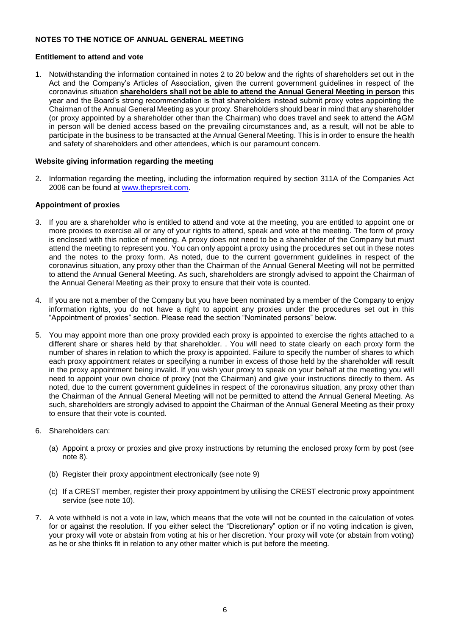### **NOTES TO THE NOTICE OF ANNUAL GENERAL MEETING**

#### **Entitlement to attend and vote**

1. Notwithstanding the information contained in notes 2 to 20 below and the rights of shareholders set out in the Act and the Company's Articles of Association, given the current government guidelines in respect of the coronavirus situation **shareholders shall not be able to attend the Annual General Meeting in person** this year and the Board's strong recommendation is that shareholders instead submit proxy votes appointing the Chairman of the Annual General Meeting as your proxy. Shareholders should bear in mind that any shareholder (or proxy appointed by a shareholder other than the Chairman) who does travel and seek to attend the AGM in person will be denied access based on the prevailing circumstances and, as a result, will not be able to participate in the business to be transacted at the Annual General Meeting. This is in order to ensure the health and safety of shareholders and other attendees, which is our paramount concern.

### **Website giving information regarding the meeting**

2. Information regarding the meeting, including the information required by section 311A of the Companies Act 2006 can be found at [www.theprsreit.com.](http://www.theprsreit.com/)

### **Appointment of proxies**

- 3. If you are a shareholder who is entitled to attend and vote at the meeting, you are entitled to appoint one or more proxies to exercise all or any of your rights to attend, speak and vote at the meeting. The form of proxy is enclosed with this notice of meeting. A proxy does not need to be a shareholder of the Company but must attend the meeting to represent you. You can only appoint a proxy using the procedures set out in these notes and the notes to the proxy form. As noted, due to the current government guidelines in respect of the coronavirus situation, any proxy other than the Chairman of the Annual General Meeting will not be permitted to attend the Annual General Meeting. As such, shareholders are strongly advised to appoint the Chairman of the Annual General Meeting as their proxy to ensure that their vote is counted.
- 4. If you are not a member of the Company but you have been nominated by a member of the Company to enjoy information rights, you do not have a right to appoint any proxies under the procedures set out in this "Appointment of proxies" section. Please read the section "Nominated persons" below.
- 5. You may appoint more than one proxy provided each proxy is appointed to exercise the rights attached to a different share or shares held by that shareholder. . You will need to state clearly on each proxy form the number of shares in relation to which the proxy is appointed. Failure to specify the number of shares to which each proxy appointment relates or specifying a number in excess of those held by the shareholder will result in the proxy appointment being invalid. If you wish your proxy to speak on your behalf at the meeting you will need to appoint your own choice of proxy (not the Chairman) and give your instructions directly to them. As noted, due to the current government guidelines in respect of the coronavirus situation, any proxy other than the Chairman of the Annual General Meeting will not be permitted to attend the Annual General Meeting. As such, shareholders are strongly advised to appoint the Chairman of the Annual General Meeting as their proxy to ensure that their vote is counted.
- 6. Shareholders can:
	- (a) Appoint a proxy or proxies and give proxy instructions by returning the enclosed proxy form by post (see note 8).
	- (b) Register their proxy appointment electronically (see note 9)
	- (c) If a CREST member, register their proxy appointment by utilising the CREST electronic proxy appointment service (see note 10).
- 7. A vote withheld is not a vote in law, which means that the vote will not be counted in the calculation of votes for or against the resolution. If you either select the "Discretionary" option or if no voting indication is given, your proxy will vote or abstain from voting at his or her discretion. Your proxy will vote (or abstain from voting) as he or she thinks fit in relation to any other matter which is put before the meeting.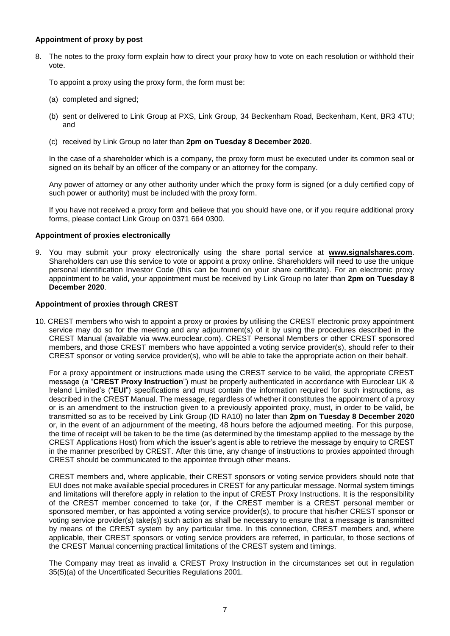### **Appointment of proxy by post**

8. The notes to the proxy form explain how to direct your proxy how to vote on each resolution or withhold their vote.

To appoint a proxy using the proxy form, the form must be:

- (a) completed and signed;
- (b) sent or delivered to Link Group at PXS, Link Group, 34 Beckenham Road, Beckenham, Kent, BR3 4TU; and
- (c) received by Link Group no later than **2pm on Tuesday 8 December 2020**.

In the case of a shareholder which is a company, the proxy form must be executed under its common seal or signed on its behalf by an officer of the company or an attorney for the company.

Any power of attorney or any other authority under which the proxy form is signed (or a duly certified copy of such power or authority) must be included with the proxy form.

If you have not received a proxy form and believe that you should have one, or if you require additional proxy forms, please contact Link Group on 0371 664 0300.

### **Appointment of proxies electronically**

9. You may submit your proxy electronically using the share portal service at **[www.signalshares.com](http://www.signalshares.com/)**. Shareholders can use this service to vote or appoint a proxy online. Shareholders will need to use the unique personal identification Investor Code (this can be found on your share certificate). For an electronic proxy appointment to be valid, your appointment must be received by Link Group no later than **2pm on Tuesday 8 December 2020**.

### **Appointment of proxies through CREST**

10. CREST members who wish to appoint a proxy or proxies by utilising the CREST electronic proxy appointment service may do so for the meeting and any adjournment(s) of it by using the procedures described in the CREST Manual (available via www.euroclear.com). CREST Personal Members or other CREST sponsored members, and those CREST members who have appointed a voting service provider(s), should refer to their CREST sponsor or voting service provider(s), who will be able to take the appropriate action on their behalf.

For a proxy appointment or instructions made using the CREST service to be valid, the appropriate CREST message (a "**CREST Proxy Instruction**") must be properly authenticated in accordance with Euroclear UK & Ireland Limited's ("**EUI**") specifications and must contain the information required for such instructions, as described in the CREST Manual. The message, regardless of whether it constitutes the appointment of a proxy or is an amendment to the instruction given to a previously appointed proxy, must, in order to be valid, be transmitted so as to be received by Link Group (ID RA10) no later than **2pm on Tuesday 8 December 2020** or, in the event of an adjournment of the meeting, 48 hours before the adjourned meeting. For this purpose, the time of receipt will be taken to be the time (as determined by the timestamp applied to the message by the CREST Applications Host) from which the issuer's agent is able to retrieve the message by enquiry to CREST in the manner prescribed by CREST. After this time, any change of instructions to proxies appointed through CREST should be communicated to the appointee through other means.

CREST members and, where applicable, their CREST sponsors or voting service providers should note that EUI does not make available special procedures in CREST for any particular message. Normal system timings and limitations will therefore apply in relation to the input of CREST Proxy Instructions. It is the responsibility of the CREST member concerned to take (or, if the CREST member is a CREST personal member or sponsored member, or has appointed a voting service provider(s), to procure that his/her CREST sponsor or voting service provider(s) take(s)) such action as shall be necessary to ensure that a message is transmitted by means of the CREST system by any particular time. In this connection, CREST members and, where applicable, their CREST sponsors or voting service providers are referred, in particular, to those sections of the CREST Manual concerning practical limitations of the CREST system and timings.

The Company may treat as invalid a CREST Proxy Instruction in the circumstances set out in regulation 35(5)(a) of the Uncertificated Securities Regulations 2001.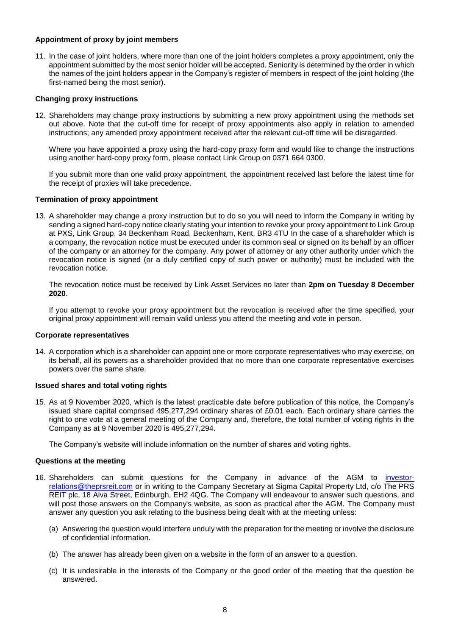### **Appointment of proxy by joint members**

11. In the case of joint holders, where more than one of the joint holders completes a proxy appointment, only the appointment submitted by the most senior holder will be accepted. Seniority is determined by the order in which the names of the joint holders appear in the Company's register of members in respect of the joint holding (the first-named being the most senior).

### **Changing proxy instructions**

12. Shareholders may change proxy instructions by submitting a new proxy appointment using the methods set out above. Note that the cut-off time for receipt of proxy appointments also apply in relation to amended instructions; any amended proxy appointment received after the relevant cut-off time will be disregarded.

Where you have appointed a proxy using the hard-copy proxy form and would like to change the instructions using another hard-copy proxy form, please contact Link Group on 0371 664 0300.

If you submit more than one valid proxy appointment, the appointment received last before the latest time for the receipt of proxies will take precedence.

### **Termination of proxy appointment**

13. A shareholder may change a proxy instruction but to do so you will need to inform the Company in writing by sending a signed hard-copy notice clearly stating your intention to revoke your proxy appointment to Link Group at PXS, Link Group, 34 Beckenham Road, Beckenham, Kent, BR3 4TU In the case of a shareholder which is a company, the revocation notice must be executed under its common seal or signed on its behalf by an officer of the company or an attorney for the company. Any power of attorney or any other authority under which the revocation notice is signed (or a duly certified copy of such power or authority) must be included with the revocation notice.

The revocation notice must be received by Link Asset Services no later than **2pm on Tuesday 8 December 2020**.

If you attempt to revoke your proxy appointment but the revocation is received after the time specified, your original proxy appointment will remain valid unless you attend the meeting and vote in person.

#### **Corporate representatives**

14. A corporation which is a shareholder can appoint one or more corporate representatives who may exercise, on its behalf, all its powers as a shareholder provided that no more than one corporate representative exercises powers over the same share.

#### **Issued shares and total voting rights**

15. As at 9 November 2020, which is the latest practicable date before publication of this notice, the Company's issued share capital comprised 495,277,294 ordinary shares of £0.01 each. Each ordinary share carries the right to one vote at a general meeting of the Company and, therefore, the total number of voting rights in the Company as at 9 November 2020 is 495,277,294.

The Company's website will include information on the number of shares and voting rights.

#### **Questions at the meeting**

- 16. Shareholders can submit questions for the Company in advance of the AGM to [investor](mailto:investor-relations@theprsreit.com)[relations@theprsreit.com](mailto:investor-relations@theprsreit.com) or in writing to the Company Secretary at Sigma Capital Property Ltd, c/o The PRS REIT plc, 18 Alva Street, Edinburgh, EH2 4QG. The Company will endeavour to answer such questions, and will post those answers on the Company's website, as soon as practical after the AGM. The Company must answer any question you ask relating to the business being dealt with at the meeting unless:
	- (a) Answering the question would interfere unduly with the preparation for the meeting or involve the disclosure of confidential information.
	- (b) The answer has already been given on a website in the form of an answer to a question.
	- (c) It is undesirable in the interests of the Company or the good order of the meeting that the question be answered.